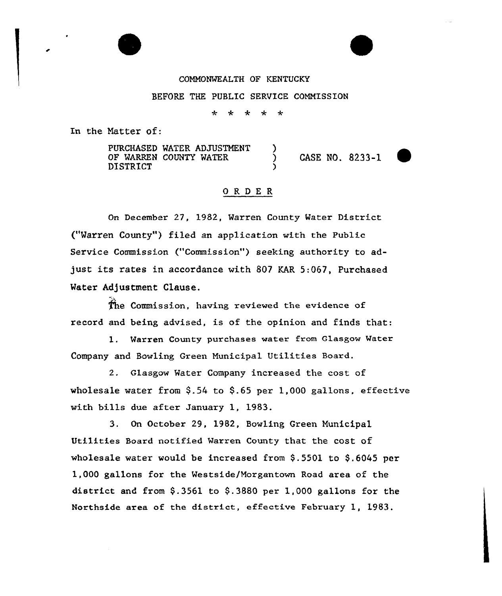## COMNONWEALTH OF KENTUCKY

#### BEFORE THE PUBLIC SERVICE CONNISSION

\* \* \* \* \*

In the Natter of:

PURCHASED WATER ADJUSTMENT OF WARREN COUNTY WATER DISTRICT

CASE NO. 8233-1



## ORDER

 $\overline{\phantom{a}}$ 

On December 27, 1982, Warren County Mater District ("Warren County") filed an application with the Public Service Commission ("Commission") seeking authority to adjust its rates in accordance with 807 KAR 5:067, Purchased Water Adjustment Clause.

(he Commission, having reviewed the evidence of record and being advised, is of the opinion and finds that:

1. Warren County purchases water from Glasgow Water Company and Bowling Green Municipal Utilities Board.

2. Glasgow Mater Company increased the cost of wholesale water from  $$.54$  to  $$.65$  per 1,000 gallons, effective with bills due after January 1, 1983.

3. On October 29, 1982, Bowling Green Nunicipal Utilities Board notified Warren County that the cost of wholesale water would be increased from \$.5501 to \$.6045 per 1,000 gallons for the Westside/Norgantown Road area of the district and from  $$.3561$  to  $$.3880$  per 1,000 gallons for the Northside area of the district, effective February 1, 1983.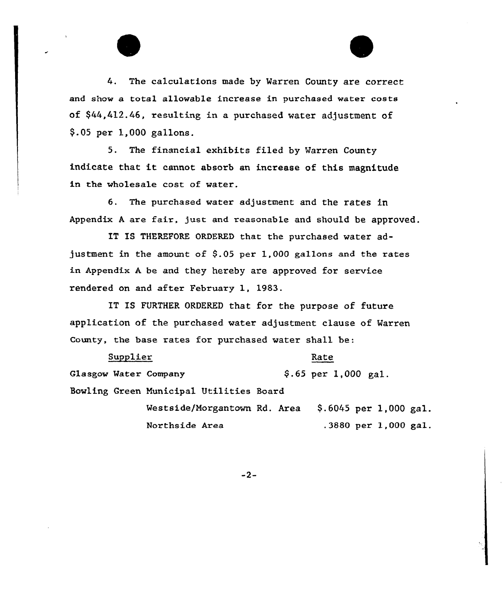

5. The financial exhibits filed by Warren County indicate that it cannot absorb an increase of this magnitude in the wholesale cost of water.

6. The purchased water adjustment and the rates in Appendix <sup>A</sup> are fair, just and reasonable and should be approved.

IT IS THEREFORE ORDERED that the purchased water adjustment in the amount of \$.05 per 1,000 gallons and the rates in Appendix <sup>A</sup> be and they hereby are approved for service rendered on and after February 1, 1983.

IT IS FURTHER ORDERED that for the purpose of future application of the purchased water adjustment clause of Warren County, the base rates for purchased water shall be:

| Supplier |                                         |  |                         |  |  |
|----------|-----------------------------------------|--|-------------------------|--|--|
|          | Glasgow Water Company                   |  | $$.65$ per 1,000 gal.   |  |  |
|          | Bowling Green Municipal Utilities Board |  |                         |  |  |
|          | Westside/Morgantown Rd. Area            |  | $$.6045$ per 1,000 gal. |  |  |
|          | Northside Area                          |  | .3880 per 1,000 gal.    |  |  |

 $-2-$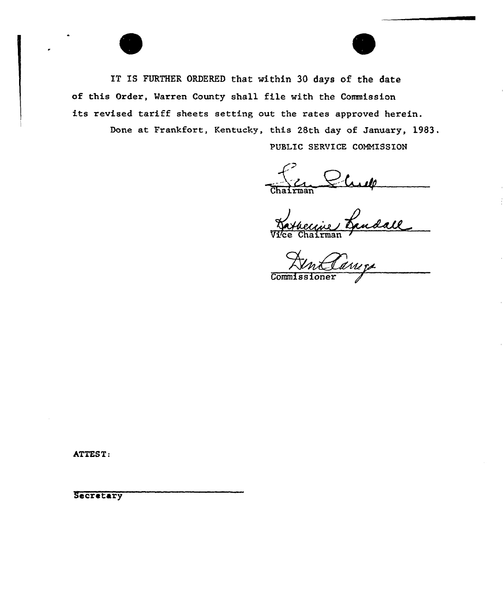IT IS FURTHER ORDERED that within 30 days of the date of this Order, Marren County shall file vith the Commission its revised tariff sheets setting out the rates approved herein. Done at Frankfort, Kentucky, this 28th day of January, 1983. PUBLIC SERVICE COMMISSION

Chairman  $\mathcal{L}$  . Let

Vice Chairma

Commissioner

ATTEST:

Secretary